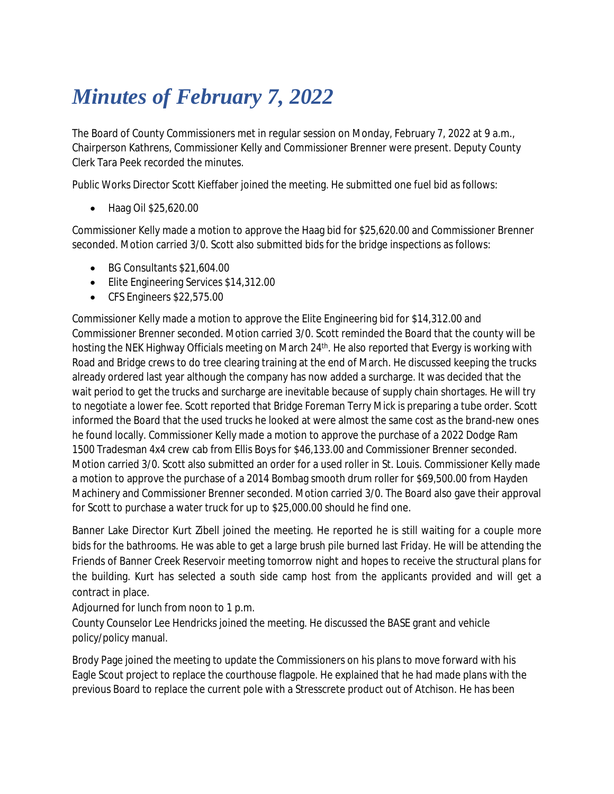## *Minutes of February 7, 2022*

The Board of County Commissioners met in regular session on Monday, February 7, 2022 at 9 a.m., Chairperson Kathrens, Commissioner Kelly and Commissioner Brenner were present. Deputy County Clerk Tara Peek recorded the minutes.

Public Works Director Scott Kieffaber joined the meeting. He submitted one fuel bid as follows:

• Haag Oil \$25,620.00

Commissioner Kelly made a motion to approve the Haag bid for \$25,620.00 and Commissioner Brenner seconded. Motion carried 3/0. Scott also submitted bids for the bridge inspections as follows:

- BG Consultants \$21,604.00
- **Elite Engineering Services \$14,312.00**
- CFS Engineers \$22,575.00

Commissioner Kelly made a motion to approve the Elite Engineering bid for \$14,312.00 and Commissioner Brenner seconded. Motion carried 3/0. Scott reminded the Board that the county will be hosting the NEK Highway Officials meeting on March 24<sup>th</sup>. He also reported that Evergy is working with Road and Bridge crews to do tree clearing training at the end of March. He discussed keeping the trucks already ordered last year although the company has now added a surcharge. It was decided that the wait period to get the trucks and surcharge are inevitable because of supply chain shortages. He will try to negotiate a lower fee. Scott reported that Bridge Foreman Terry Mick is preparing a tube order. Scott informed the Board that the used trucks he looked at were almost the same cost as the brand-new ones he found locally. Commissioner Kelly made a motion to approve the purchase of a 2022 Dodge Ram 1500 Tradesman 4x4 crew cab from Ellis Boys for \$46,133.00 and Commissioner Brenner seconded. Motion carried 3/0. Scott also submitted an order for a used roller in St. Louis. Commissioner Kelly made a motion to approve the purchase of a 2014 Bombag smooth drum roller for \$69,500.00 from Hayden Machinery and Commissioner Brenner seconded. Motion carried 3/0. The Board also gave their approval for Scott to purchase a water truck for up to \$25,000.00 should he find one.

Banner Lake Director Kurt Zibell joined the meeting. He reported he is still waiting for a couple more bids for the bathrooms. He was able to get a large brush pile burned last Friday. He will be attending the Friends of Banner Creek Reservoir meeting tomorrow night and hopes to receive the structural plans for the building. Kurt has selected a south side camp host from the applicants provided and will get a contract in place.

Adjourned for lunch from noon to 1 p.m.

County Counselor Lee Hendricks joined the meeting. He discussed the BASE grant and vehicle policy/policy manual.

Brody Page joined the meeting to update the Commissioners on his plans to move forward with his Eagle Scout project to replace the courthouse flagpole. He explained that he had made plans with the previous Board to replace the current pole with a Stresscrete product out of Atchison. He has been